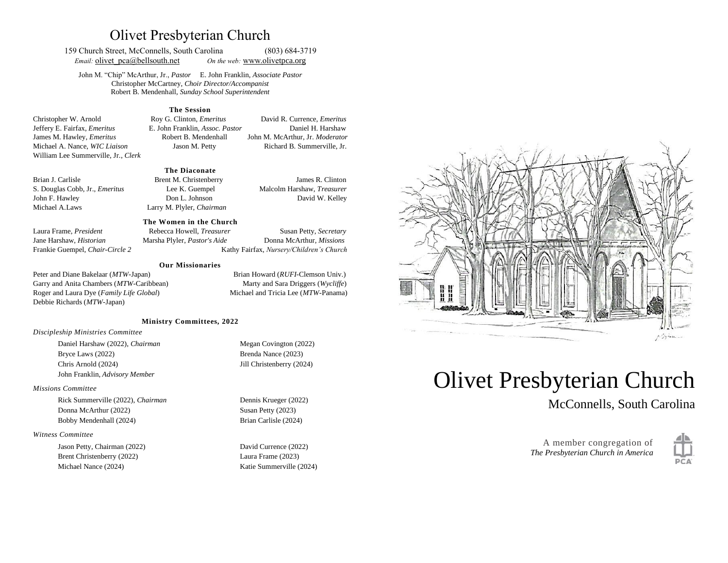# Olivet Presbyterian Church

159 Church Street, McConnells, South Carolina (803) 684-3719 *Email:* olivet pca@bellsouth.net *On the web:* [www.olivetp](http://www.olivet/)ca.org

John M. "Chip" McArthur, Jr., *Pastor* E. John Franklin, *Associate Pastor* Christopher McCartney, *Choir Director/Accompanist* Robert B. Mendenhall, *Sunday School Superintendent*

**The Session**

Christopher W. Arnold Roy G. Clinton, *Emeritus* David R. Currence, *Emeritus* Jeffery E. Fairfax, *Emeritus* E. John Franklin, *Assoc. Pastor* Daniel H. Harshaw James M. Hawley, *Emeritus* Robert B. Mendenhall John M. McArthur, Jr. *Moderator* Michael A. Nance, *WIC Liaison* Jason M. Petty Richard B. Summerville, Jr. William Lee Summerville, Jr., *Clerk*

#### **The Diaconate**

Brian J. Carlisle **Brent M. Christenberry** James R. Clinton S. Douglas Cobb, Jr., *Emeritus* Lee K. Guempel Malcolm Harshaw, *Treasurer* John F. Hawley Don L. Johnson David W. Kelley Michael A.Laws Larry M. Plyler, *Chairman* 

#### **The Women in the Church**

Laura Frame, *President* Rebecca Howell, *Treasurer* Susan Petty, *Secretary*  Jane Harshaw, *Historian* Marsha Plyler, *Pastor's Aide* Donna McArthur, *Missions* Frankie Guempel, *Chair-Circle 2* Kathy Fairfax, *Nursery/Children's Church*

#### **Our Missionaries**

Peter and Diane Bakelaar (*MTW*-Japan) Brian Howard (*RUFI*-Clemson Univ.) Garry and Anita Chambers (*MTW*-Caribbean) Marty and Sara Driggers (*Wycliffe*) Roger and Laura Dye (*Family Life Global*) Michael and Tricia Lee (*MTW*-Panama) Debbie Richards (*MTW*-Japan)

#### **Ministry Committees, 2022**

#### *Discipleship Ministries Committee*

Daniel Harshaw (2022), *Chairman* Megan Covington (2022) Bryce Laws (2022) Brenda Nance (2023) Chris Arnold (2024) Jill Christenberry (2024) John Franklin, *Advisory Member*

#### *Missions Committee*

Rick Summerville (2022), *Chairman* Dennis Krueger (2022) Donna McArthur (2022) Susan Petty (2023) Bobby Mendenhall (2024) Brian Carlisle (2024)

#### *Witness Committee*

Jason Petty, Chairman (2022) David Currence (2022) Brent Christenberry (2022) Laura Frame (2023) Michael Nance (2024) Katie Summerville (2024)



# Olivet Presbyterian Church

McConnells, South Carolina

A member congregation of *The Presbyterian Church in America*

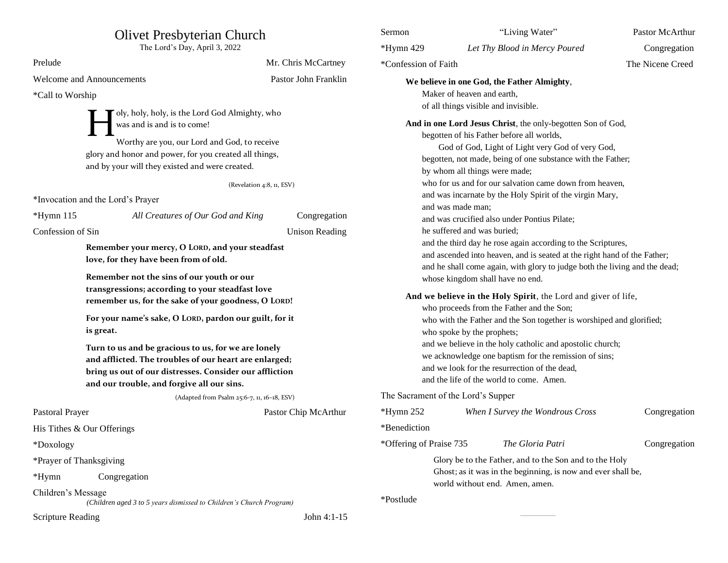| <b>Olivet Presbyterian Church</b><br>The Lord's Day, April 3, 2022                                                                                              |                                                                              | Sermon                                        |                                                                                                                                                                                                                                                            | "Living Water"                | Pastor McArthur                                                                                |                  |
|-----------------------------------------------------------------------------------------------------------------------------------------------------------------|------------------------------------------------------------------------------|-----------------------------------------------|------------------------------------------------------------------------------------------------------------------------------------------------------------------------------------------------------------------------------------------------------------|-------------------------------|------------------------------------------------------------------------------------------------|------------------|
|                                                                                                                                                                 |                                                                              | *Hymn 429                                     |                                                                                                                                                                                                                                                            | Let Thy Blood in Mercy Poured | Congregation                                                                                   |                  |
| Prelude                                                                                                                                                         |                                                                              | Mr. Chris McCartney                           | *Confession of Faith                                                                                                                                                                                                                                       |                               |                                                                                                | The Nicene Creed |
| <b>Welcome and Announcements</b>                                                                                                                                |                                                                              | Pastor John Franklin                          | We believe in one God, the Father Almighty,                                                                                                                                                                                                                |                               |                                                                                                |                  |
| *Call to Worship                                                                                                                                                |                                                                              |                                               |                                                                                                                                                                                                                                                            | Maker of heaven and earth,    |                                                                                                |                  |
|                                                                                                                                                                 |                                                                              |                                               |                                                                                                                                                                                                                                                            |                               | of all things visible and invisible.                                                           |                  |
|                                                                                                                                                                 | oly, holy, holy, is the Lord God Almighty, who<br>was and is and is to come! |                                               | And in one Lord Jesus Christ, the only-begotten Son of God,                                                                                                                                                                                                |                               |                                                                                                |                  |
|                                                                                                                                                                 |                                                                              |                                               | begotten of his Father before all worlds,                                                                                                                                                                                                                  |                               |                                                                                                |                  |
| Worthy are you, our Lord and God, to receive<br>glory and honor and power, for you created all things,<br>and by your will they existed and were created.       |                                                                              |                                               | God of God, Light of Light very God of very God,<br>begotten, not made, being of one substance with the Father;                                                                                                                                            |                               |                                                                                                |                  |
|                                                                                                                                                                 |                                                                              |                                               |                                                                                                                                                                                                                                                            |                               |                                                                                                |                  |
|                                                                                                                                                                 |                                                                              |                                               | by whom all things were made;                                                                                                                                                                                                                              |                               |                                                                                                |                  |
|                                                                                                                                                                 | (Revelation 4:8, 11, ESV)                                                    |                                               | who for us and for our salvation came down from heaven,<br>and was incarnate by the Holy Spirit of the virgin Mary,                                                                                                                                        |                               |                                                                                                |                  |
| *Invocation and the Lord's Prayer                                                                                                                               |                                                                              | and was made man;                             |                                                                                                                                                                                                                                                            |                               |                                                                                                |                  |
| $*Hymn 115$                                                                                                                                                     | All Creatures of Our God and King                                            | Congregation                                  |                                                                                                                                                                                                                                                            |                               | and was crucified also under Pontius Pilate;                                                   |                  |
| Confession of Sin                                                                                                                                               |                                                                              | <b>Unison Reading</b>                         |                                                                                                                                                                                                                                                            | he suffered and was buried;   |                                                                                                |                  |
|                                                                                                                                                                 | Remember your mercy, O LORD, and your steadfast                              |                                               | and the third day he rose again according to the Scriptures,<br>and ascended into heaven, and is seated at the right hand of the Father;<br>and he shall come again, with glory to judge both the living and the dead;<br>whose kingdom shall have no end. |                               |                                                                                                |                  |
|                                                                                                                                                                 | love, for they have been from of old.                                        |                                               |                                                                                                                                                                                                                                                            |                               |                                                                                                |                  |
|                                                                                                                                                                 | Remember not the sins of our youth or our                                    |                                               |                                                                                                                                                                                                                                                            |                               |                                                                                                |                  |
|                                                                                                                                                                 | transgressions; according to your steadfast love                             |                                               |                                                                                                                                                                                                                                                            |                               |                                                                                                |                  |
| remember us, for the sake of your goodness, O LORD!                                                                                                             |                                                                              |                                               | And we believe in the Holy Spirit, the Lord and giver of life,                                                                                                                                                                                             |                               |                                                                                                |                  |
|                                                                                                                                                                 |                                                                              |                                               | who proceeds from the Father and the Son;                                                                                                                                                                                                                  |                               |                                                                                                |                  |
| For your name's sake, O LORD, pardon our guilt, for it                                                                                                          |                                                                              |                                               | who with the Father and the Son together is worshiped and glorified;<br>who spoke by the prophets;<br>and we believe in the holy catholic and apostolic church;                                                                                            |                               |                                                                                                |                  |
| is great.                                                                                                                                                       |                                                                              |                                               |                                                                                                                                                                                                                                                            |                               |                                                                                                |                  |
|                                                                                                                                                                 | Turn to us and be gracious to us, for we are lonely                          |                                               | we acknowledge one baptism for the remission of sins;                                                                                                                                                                                                      |                               |                                                                                                |                  |
| and afflicted. The troubles of our heart are enlarged;<br>bring us out of our distresses. Consider our affliction<br>and our trouble, and forgive all our sins. |                                                                              | and we look for the resurrection of the dead, |                                                                                                                                                                                                                                                            |                               |                                                                                                |                  |
|                                                                                                                                                                 |                                                                              |                                               |                                                                                                                                                                                                                                                            |                               | and the life of the world to come. Amen.                                                       |                  |
|                                                                                                                                                                 | (Adapted from Psalm 25:6-7, 11, 16-18, ESV)                                  |                                               | The Sacrament of the Lord's Supper                                                                                                                                                                                                                         |                               |                                                                                                |                  |
| Pastoral Prayer                                                                                                                                                 |                                                                              | Pastor Chip McArthur                          | *Hymn 252                                                                                                                                                                                                                                                  |                               | When I Survey the Wondrous Cross                                                               | Congregation     |
| His Tithes & Our Offerings                                                                                                                                      |                                                                              |                                               | *Benediction                                                                                                                                                                                                                                               |                               |                                                                                                |                  |
| *Doxology                                                                                                                                                       |                                                                              |                                               | *Offering of Praise 735                                                                                                                                                                                                                                    |                               | The Gloria Patri                                                                               | Congregation     |
| *Prayer of Thanksgiving                                                                                                                                         |                                                                              |                                               |                                                                                                                                                                                                                                                            |                               | Glory be to the Father, and to the Son and to the Holy                                         |                  |
| *Hymn                                                                                                                                                           | Congregation                                                                 |                                               |                                                                                                                                                                                                                                                            |                               | Ghost; as it was in the beginning, is now and ever shall be,<br>world without end. Amen, amen. |                  |
| Children's Message                                                                                                                                              | (Children aged 3 to 5 years dismissed to Children's Church Program)          |                                               | *Postlude                                                                                                                                                                                                                                                  |                               |                                                                                                |                  |
| John 4:1-15<br><b>Scripture Reading</b>                                                                                                                         |                                                                              |                                               |                                                                                                                                                                                                                                                            |                               |                                                                                                |                  |